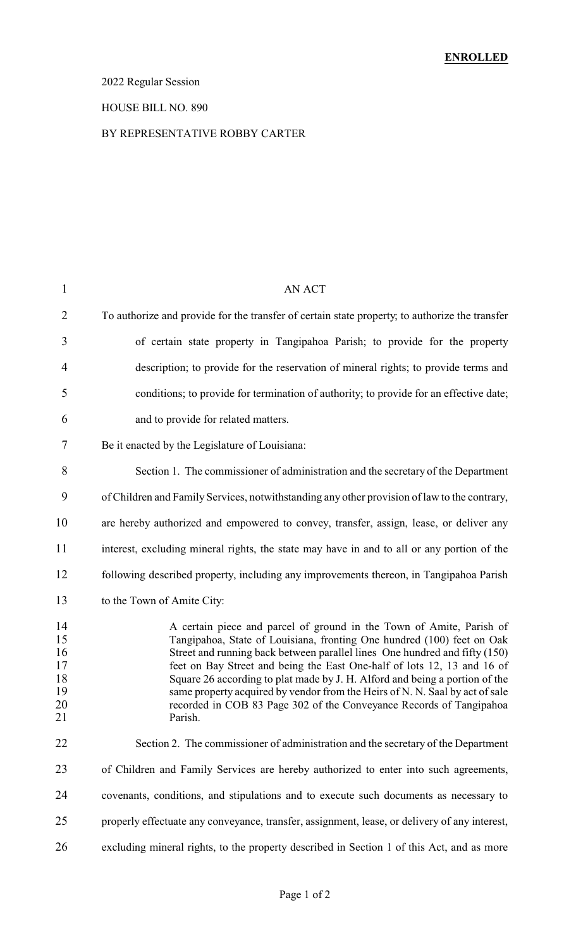## 2022 Regular Session

# HOUSE BILL NO. 890

#### BY REPRESENTATIVE ROBBY CARTER

| $\mathbf{1}$                                 | <b>AN ACT</b>                                                                                                                                                                                                                                                                                                                                                                                                                                                                                                                                            |
|----------------------------------------------|----------------------------------------------------------------------------------------------------------------------------------------------------------------------------------------------------------------------------------------------------------------------------------------------------------------------------------------------------------------------------------------------------------------------------------------------------------------------------------------------------------------------------------------------------------|
| $\overline{2}$                               | To authorize and provide for the transfer of certain state property, to authorize the transfer                                                                                                                                                                                                                                                                                                                                                                                                                                                           |
| 3                                            | of certain state property in Tangipahoa Parish; to provide for the property                                                                                                                                                                                                                                                                                                                                                                                                                                                                              |
| $\overline{4}$                               | description; to provide for the reservation of mineral rights; to provide terms and                                                                                                                                                                                                                                                                                                                                                                                                                                                                      |
| 5                                            | conditions; to provide for termination of authority; to provide for an effective date;                                                                                                                                                                                                                                                                                                                                                                                                                                                                   |
| 6                                            | and to provide for related matters.                                                                                                                                                                                                                                                                                                                                                                                                                                                                                                                      |
| 7                                            | Be it enacted by the Legislature of Louisiana:                                                                                                                                                                                                                                                                                                                                                                                                                                                                                                           |
| 8                                            | Section 1. The commissioner of administration and the secretary of the Department                                                                                                                                                                                                                                                                                                                                                                                                                                                                        |
| 9                                            | of Children and Family Services, notwithstanding any other provision of law to the contrary,                                                                                                                                                                                                                                                                                                                                                                                                                                                             |
| 10                                           | are hereby authorized and empowered to convey, transfer, assign, lease, or deliver any                                                                                                                                                                                                                                                                                                                                                                                                                                                                   |
| 11                                           | interest, excluding mineral rights, the state may have in and to all or any portion of the                                                                                                                                                                                                                                                                                                                                                                                                                                                               |
| 12                                           | following described property, including any improvements thereon, in Tangipahoa Parish                                                                                                                                                                                                                                                                                                                                                                                                                                                                   |
| 13                                           | to the Town of Amite City:                                                                                                                                                                                                                                                                                                                                                                                                                                                                                                                               |
| 14<br>15<br>16<br>17<br>18<br>19<br>20<br>21 | A certain piece and parcel of ground in the Town of Amite, Parish of<br>Tangipahoa, State of Louisiana, fronting One hundred (100) feet on Oak<br>Street and running back between parallel lines One hundred and fifty (150)<br>feet on Bay Street and being the East One-half of lots 12, 13 and 16 of<br>Square 26 according to plat made by J. H. Alford and being a portion of the<br>same property acquired by vendor from the Heirs of N. N. Saal by act of sale<br>recorded in COB 83 Page 302 of the Conveyance Records of Tangipahoa<br>Parish. |
| 22                                           | Section 2. The commissioner of administration and the secretary of the Department                                                                                                                                                                                                                                                                                                                                                                                                                                                                        |
| 23                                           | of Children and Family Services are hereby authorized to enter into such agreements,                                                                                                                                                                                                                                                                                                                                                                                                                                                                     |
| 24                                           | covenants, conditions, and stipulations and to execute such documents as necessary to                                                                                                                                                                                                                                                                                                                                                                                                                                                                    |
| 25                                           | properly effectuate any conveyance, transfer, assignment, lease, or delivery of any interest,                                                                                                                                                                                                                                                                                                                                                                                                                                                            |
| 26                                           | excluding mineral rights, to the property described in Section 1 of this Act, and as more                                                                                                                                                                                                                                                                                                                                                                                                                                                                |
|                                              |                                                                                                                                                                                                                                                                                                                                                                                                                                                                                                                                                          |